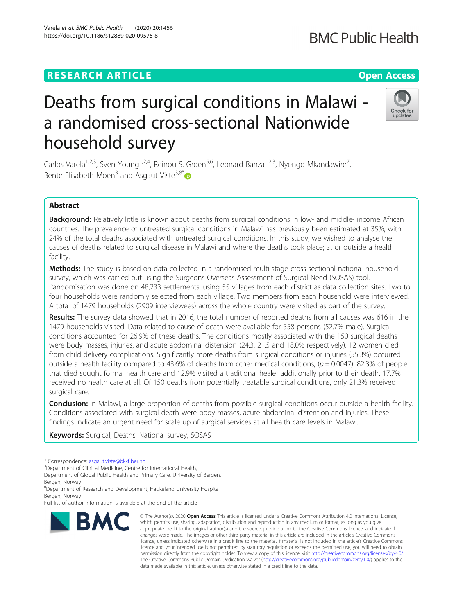# **RESEARCH ARTICLE Example 2014 12:30 The Contract of Contract ACCESS**

# Deaths from surgical conditions in Malawi a randomised cross-sectional Nationwide household survey

Carlos Varela<sup>1,2,3</sup>, Sven Young<sup>1,2,4</sup>, Reinou S. Groen<sup>5,6</sup>, Leonard Banza<sup>1,2,3</sup>, Nyengo Mkandawire<sup>7</sup>, , Bente Elisabeth Moen<sup>3</sup> and Asgaut Viste<sup>3,8[\\*](http://orcid.org/0000-0003-1691-9815)</sup> $\bullet$ 

# Abstract

Background: Relatively little is known about deaths from surgical conditions in low- and middle- income African countries. The prevalence of untreated surgical conditions in Malawi has previously been estimated at 35%, with 24% of the total deaths associated with untreated surgical conditions. In this study, we wished to analyse the causes of deaths related to surgical disease in Malawi and where the deaths took place; at or outside a health facility.

Methods: The study is based on data collected in a randomised multi-stage cross-sectional national household survey, which was carried out using the Surgeons Overseas Assessment of Surgical Need (SOSAS) tool. Randomisation was done on 48,233 settlements, using 55 villages from each district as data collection sites. Two to four households were randomly selected from each village. Two members from each household were interviewed. A total of 1479 households (2909 interviewees) across the whole country were visited as part of the survey.

Results: The survey data showed that in 2016, the total number of reported deaths from all causes was 616 in the 1479 households visited. Data related to cause of death were available for 558 persons (52.7% male). Surgical conditions accounted for 26.9% of these deaths. The conditions mostly associated with the 150 surgical deaths were body masses, injuries, and acute abdominal distension (24.3, 21.5 and 18.0% respectively). 12 women died from child delivery complications. Significantly more deaths from surgical conditions or injuries (55.3%) occurred outside a health facility compared to 43.6% of deaths from other medical conditions,  $(p = 0.0047)$ . 82.3% of people that died sought formal health care and 12.9% visited a traditional healer additionally prior to their death. 17.7% received no health care at all. Of 150 deaths from potentially treatable surgical conditions, only 21.3% received surgical care.

Conclusion: In Malawi, a large proportion of deaths from possible surgical conditions occur outside a health facility. Conditions associated with surgical death were body masses, acute abdominal distention and injuries. These findings indicate an urgent need for scale up of surgical services at all health care levels in Malawi.

Keywords: Surgical, Deaths, National survey, SOSAS

Department of Global Public Health and Primary Care, University of Bergen, Bergen, Norway



© The Author(s), 2020 **Open Access** This article is licensed under a Creative Commons Attribution 4.0 International License,





<sup>\*</sup> Correspondence: [asgaut.viste@bkkfiber.no](mailto:asgaut.viste@bkkfiber.no) <sup>3</sup>

<sup>&</sup>lt;sup>3</sup>Department of Clinical Medicine, Centre for International Health,

<sup>&</sup>lt;sup>8</sup>Department of Research and Development, Haukeland University Hospital, Bergen, Norway

Full list of author information is available at the end of the article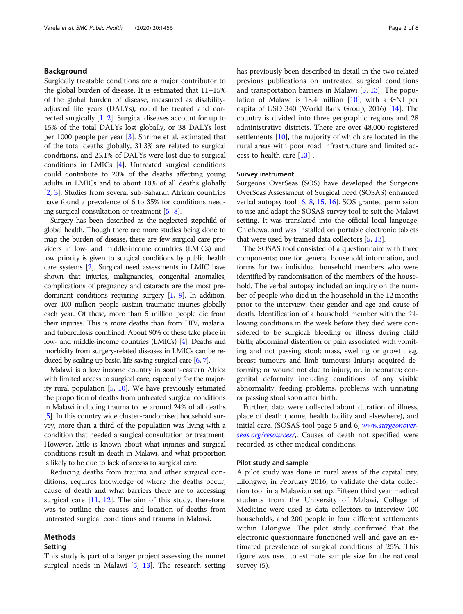# Background

Surgically treatable conditions are a major contributor to the global burden of disease. It is estimated that 11–15% of the global burden of disease, measured as disabilityadjusted life years (DALYs), could be treated and corrected surgically [[1,](#page-6-0) [2\]](#page-6-0). Surgical diseases account for up to 15% of the total DALYs lost globally, or 38 DALYs lost per 1000 people per year [[3\]](#page-6-0). Shrime et al. estimated that of the total deaths globally, 31.3% are related to surgical conditions, and 25.1% of DALYs were lost due to surgical conditions in LMICs [[4](#page-6-0)]. Untreated surgical conditions could contribute to 20% of the deaths affecting young adults in LMICs and to about 10% of all deaths globally [[2,](#page-6-0) [3\]](#page-6-0). Studies from several sub-Saharan African countries have found a prevalence of 6 to 35% for conditions needing surgical consultation or treatment [\[5](#page-6-0)–[8\]](#page-6-0).

Surgery has been described as the neglected stepchild of global health. Though there are more studies being done to map the burden of disease, there are few surgical care providers in low- and middle-income countries (LMICs) and low priority is given to surgical conditions by public health care systems [\[2\]](#page-6-0). Surgical need assessments in LMIC have shown that injuries, malignancies, congenital anomalies, complications of pregnancy and cataracts are the most predominant conditions requiring surgery [[1](#page-6-0), [9\]](#page-6-0). In addition, over 100 million people sustain traumatic injuries globally each year. Of these, more than 5 million people die from their injuries. This is more deaths than from HIV, malaria, and tuberculosis combined. About 90% of these take place in low- and middle-income countries (LMICs) [\[4](#page-6-0)]. Deaths and morbidity from surgery-related diseases in LMICs can be reduced by scaling up basic, life-saving surgical care [\[6,](#page-6-0) [7\]](#page-6-0).

Malawi is a low income country in south-eastern Africa with limited access to surgical care, especially for the majority rural population [\[5](#page-6-0), [10](#page-6-0)]. We have previously estimated the proportion of deaths from untreated surgical conditions in Malawi including trauma to be around 24% of all deaths [[5](#page-6-0)]. In this country wide cluster-randomised household survey, more than a third of the population was living with a condition that needed a surgical consultation or treatment. However, little is known about what injuries and surgical conditions result in death in Malawi, and what proportion is likely to be due to lack of access to surgical care.

Reducing deaths from trauma and other surgical conditions, requires knowledge of where the deaths occur, cause of death and what barriers there are to accessing surgical care [[11](#page-6-0), [12\]](#page-6-0). The aim of this study, therefore, was to outline the causes and location of deaths from untreated surgical conditions and trauma in Malawi.

# Methods

# Setting

This study is part of a larger project assessing the unmet surgical needs in Malawi [[5](#page-6-0), [13](#page-6-0)]. The research setting has previously been described in detail in the two related previous publications on untreated surgical conditions and transportation barriers in Malawi [\[5](#page-6-0), [13](#page-6-0)]. The population of Malawi is 18.4 million [\[10](#page-6-0)], with a GNI per capita of USD 340 (World Bank Group, 2016) [[14\]](#page-6-0). The country is divided into three geographic regions and 28 administrative districts. There are over 48,000 registered settlements [\[10](#page-6-0)], the majority of which are located in the rural areas with poor road infrastructure and limited access to health care [\[13](#page-6-0)] .

# Survey instrument

Surgeons OverSeas (SOS) have developed the Surgeons OverSeas Assessment of Surgical need (SOSAS) enhanced verbal autopsy tool [[6,](#page-6-0) [8,](#page-6-0) [15](#page-6-0), [16](#page-6-0)]. SOS granted permission to use and adapt the SOSAS survey tool to suit the Malawi setting. It was translated into the official local language, Chichewa, and was installed on portable electronic tablets that were used by trained data collectors [\[5,](#page-6-0) [13](#page-6-0)].

The SOSAS tool consisted of a questionnaire with three components; one for general household information, and forms for two individual household members who were identified by randomisation of the members of the household. The verbal autopsy included an inquiry on the number of people who died in the household in the 12 months prior to the interview, their gender and age and cause of death. Identification of a household member with the following conditions in the week before they died were considered to be surgical: bleeding or illness during child birth; abdominal distention or pain associated with vomiting and not passing stool; mass, swelling or growth e.g. breast tumours and limb tumours; Injury; acquired deformity; or wound not due to injury, or, in neonates; congenital deformity including conditions of any visible abnormality, feeding problems, problems with urinating or passing stool soon after birth.

Further, data were collected about duration of illness, place of death (home, health facility and elsewhere), and initial care. (SOSAS tool page 5 and 6, [www.surgeonover](http://www.surgeonoverseas.org/resources/)[seas.org/resources/](http://www.surgeonoverseas.org/resources/),. Causes of death not specified were recorded as other medical conditions.

## Pilot study and sample

A pilot study was done in rural areas of the capital city, Lilongwe, in February 2016, to validate the data collection tool in a Malawian set up. Fifteen third year medical students from the University of Malawi, College of Medicine were used as data collectors to interview 100 households, and 200 people in four different settlements within Lilongwe. The pilot study confirmed that the electronic questionnaire functioned well and gave an estimated prevalence of surgical conditions of 25%. This figure was used to estimate sample size for the national survey (5).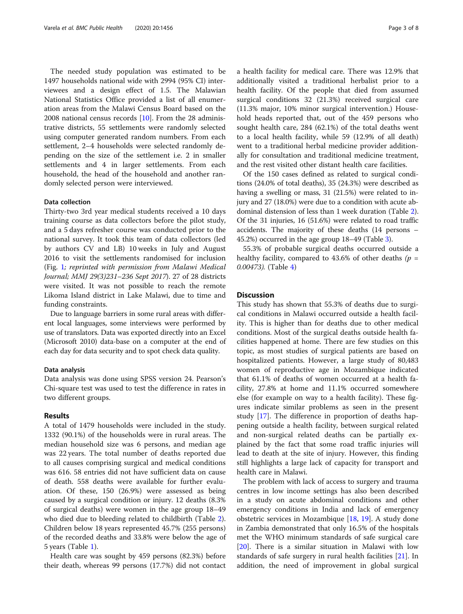The needed study population was estimated to be 1497 households national wide with 2994 (95% CI) interviewees and a design effect of 1.5. The Malawian National Statistics Office provided a list of all enumeration areas from the Malawi Census Board based on the 2008 national census records [\[10](#page-6-0)]. From the 28 administrative districts, 55 settlements were randomly selected using computer generated random numbers. From each settlement, 2–4 households were selected randomly depending on the size of the settlement i.e. 2 in smaller settlements and 4 in larger settlements. From each household, the head of the household and another randomly selected person were interviewed.

### Data collection

Thirty-two 3rd year medical students received a 10 days training course as data collectors before the pilot study, and a 5 days refresher course was conducted prior to the national survey. It took this team of data collectors (led by authors CV and LB) 10 weeks in July and August 2016 to visit the settlements randomised for inclusion (Fig. [1](#page-3-0); reprinted with permission from Malawi Medical Journal; MMJ 29(3)231–236 Sept 2017). 27 of 28 districts were visited. It was not possible to reach the remote Likoma Island district in Lake Malawi, due to time and funding constraints.

Due to language barriers in some rural areas with different local languages, some interviews were performed by use of translators. Data was exported directly into an Excel (Microsoft 2010) data-base on a computer at the end of each day for data security and to spot check data quality.

#### Data analysis

Data analysis was done using SPSS version 24. Pearson's Chi-square test was used to test the difference in rates in two different groups.

# Results

A total of 1479 households were included in the study. 1332 (90.1%) of the households were in rural areas. The median household size was 6 persons, and median age was 22 years. The total number of deaths reported due to all causes comprising surgical and medical conditions was 616. 58 entries did not have sufficient data on cause of death. 558 deaths were available for further evaluation. Of these, 150 (26.9%) were assessed as being caused by a surgical condition or injury. 12 deaths (8.3% of surgical deaths) were women in the age group 18–49 who died due to bleeding related to childbirth (Table [2](#page-4-0)). Children below 18 years represented 45.7% (255 persons) of the recorded deaths and 33.8% were below the age of 5 years (Table [1](#page-4-0)).

Health care was sought by 459 persons (82.3%) before their death, whereas 99 persons (17.7%) did not contact a health facility for medical care. There was 12.9% that additionally visited a traditional herbalist prior to a health facility. Of the people that died from assumed surgical conditions 32 (21.3%) received surgical care (11.3% major, 10% minor surgical intervention.) Household heads reported that, out of the 459 persons who sought health care, 284 (62.1%) of the total deaths went to a local health facility, while 59 (12.9% of all death) went to a traditional herbal medicine provider additionally for consultation and traditional medicine treatment, and the rest visited other distant health care facilities.

Of the 150 cases defined as related to surgical conditions (24.0% of total deaths), 35 (24.3%) were described as having a swelling or mass, 31 (21.5%) were related to injury and 27 (18.0%) were due to a condition with acute abdominal distension of less than 1 week duration (Table [2](#page-4-0)). Of the 31 injuries, 16 (51.6%) were related to road traffic accidents. The majority of these deaths (14 persons – 45.2%) occurred in the age group 18–49 (Table [3](#page-5-0)).

55.3% of probable surgical deaths occurred outside a healthy facility, compared to 43.6% of other deaths ( $p =$ 0.00473). (Table [4](#page-5-0))

# **Discussion**

This study has shown that 55.3% of deaths due to surgical conditions in Malawi occurred outside a health facility. This is higher than for deaths due to other medical conditions. Most of the surgical deaths outside health facilities happened at home. There are few studies on this topic, as most studies of surgical patients are based on hospitalized patients. However, a large study of 80,483 women of reproductive age in Mozambique indicated that 61.1% of deaths of women occurred at a health facility, 27.8% at home and 11.1% occurred somewhere else (for example on way to a health facility). These figures indicate similar problems as seen in the present study [[17\]](#page-7-0). The difference in proportion of deaths happening outside a health facility, between surgical related and non-surgical related deaths can be partially explained by the fact that some road traffic injuries will lead to death at the site of injury. However, this finding still highlights a large lack of capacity for transport and health care in Malawi.

The problem with lack of access to surgery and trauma centres in low income settings has also been described in a study on acute abdominal conditions and other emergency conditions in India and lack of emergency obstetric services in Mozambique [\[18](#page-7-0), [19\]](#page-7-0). A study done in Zambia demonstrated that only 16.5% of the hospitals met the WHO minimum standards of safe surgical care [[20\]](#page-7-0). There is a similar situation in Malawi with low standards of safe surgery in rural health facilities [[21](#page-7-0)]. In addition, the need of improvement in global surgical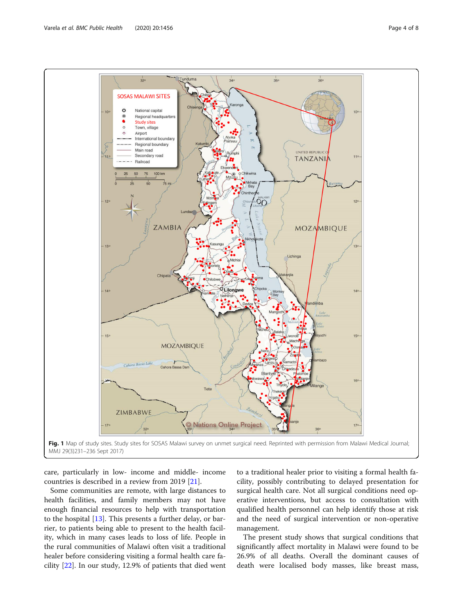<span id="page-3-0"></span>

care, particularly in low- income and middle- income countries is described in a review from 2019 [[21](#page-7-0)].

Some communities are remote, with large distances to health facilities, and family members may not have enough financial resources to help with transportation to the hospital [[13\]](#page-6-0). This presents a further delay, or barrier, to patients being able to present to the health facility, which in many cases leads to loss of life. People in the rural communities of Malawi often visit a traditional healer before considering visiting a formal health care facility [[22\]](#page-7-0). In our study, 12.9% of patients that died went to a traditional healer prior to visiting a formal health facility, possibly contributing to delayed presentation for surgical health care. Not all surgical conditions need operative interventions, but access to consultation with qualified health personnel can help identify those at risk and the need of surgical intervention or non-operative management.

The present study shows that surgical conditions that significantly affect mortality in Malawi were found to be 26.9% of all deaths. Overall the dominant causes of death were localised body masses, like breast mass,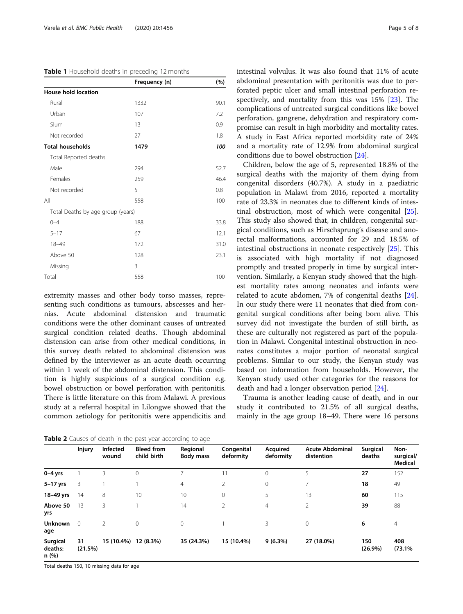<span id="page-4-0"></span>

| Table 1 Household deaths in preceding 12 months |  |
|-------------------------------------------------|--|
|-------------------------------------------------|--|

|                                   | Frequency (n) | (%)  |
|-----------------------------------|---------------|------|
| <b>House hold location</b>        |               |      |
| Rural                             | 1332          | 90.1 |
| Urban                             | 107           | 7.2  |
| Slum                              | 13            | 0.9  |
| Not recorded                      | 27            | 1.8  |
| <b>Total households</b>           | 1479          | 100  |
| Total Reported deaths             |               |      |
| Male                              | 294           | 52.7 |
| Females                           | 259           | 46.4 |
| Not recorded                      | 5             | 0.8  |
| All                               | 558           | 100  |
| Total Deaths by age group (years) |               |      |
| $0 - 4$                           | 188           | 33.8 |
| $5 - 17$                          | 67            | 12.1 |
| $18 - 49$                         | 172           | 31.0 |
| Above 50                          | 128           | 23.1 |
| Missing                           | 3             |      |
| Total                             | 558           | 100  |

extremity masses and other body torso masses, representing such conditions as tumours, abscesses and hernias. Acute abdominal distension and traumatic conditions were the other dominant causes of untreated surgical condition related deaths. Though abdominal distension can arise from other medical conditions, in this survey death related to abdominal distension was defined by the interviewer as an acute death occurring within 1 week of the abdominal distension. This condition is highly suspicious of a surgical condition e.g. bowel obstruction or bowel perforation with peritonitis. There is little literature on this from Malawi. A previous study at a referral hospital in Lilongwe showed that the common aetiology for peritonitis were appendicitis and

**Table 2** Causes of death in the past year according to age

intestinal volvulus. It was also found that 11% of acute abdominal presentation with peritonitis was due to perforated peptic ulcer and small intestinal perforation respectively, and mortality from this was 15% [\[23](#page-7-0)]. The complications of untreated surgical conditions like bowel perforation, gangrene, dehydration and respiratory compromise can result in high morbidity and mortality rates. A study in East Africa reported morbidity rate of 24% and a mortality rate of 12.9% from abdominal surgical conditions due to bowel obstruction [\[24](#page-7-0)].

Children, below the age of 5, represented 18.8% of the surgical deaths with the majority of them dying from congenital disorders (40.7%). A study in a paediatric population in Malawi from 2016, reported a mortality rate of 23.3% in neonates due to different kinds of intestinal obstruction, most of which were congenital [\[25](#page-7-0)]. This study also showed that, in children, congenital surgical conditions, such as Hirschsprung's disease and anorectal malformations, accounted for 29 and 18.5% of intestinal obstructions in neonate respectively [[25](#page-7-0)]. This is associated with high mortality if not diagnosed promptly and treated properly in time by surgical intervention. Similarly, a Kenyan study showed that the highest mortality rates among neonates and infants were related to acute abdomen, 7% of congenital deaths [\[24](#page-7-0)]. In our study there were 11 neonates that died from congenital surgical conditions after being born alive. This survey did not investigate the burden of still birth, as these are culturally not registered as part of the population in Malawi. Congenital intestinal obstruction in neonates constitutes a major portion of neonatal surgical problems. Similar to our study, the Kenyan study was based on information from households. However, the Kenyan study used other categories for the reasons for death and had a longer observation period [[24](#page-7-0)].

Trauma is another leading cause of death, and in our study it contributed to 21.5% of all surgical deaths, mainly in the age group 18–49. There were 16 persons

|                             | <b>Injury</b> | Infected<br>wound | <b>Bleed from</b><br>child birth | Regional<br><b>Body mass</b> | Congenital<br>deformity | Acquired<br>deformity | <b>Acute Abdominal</b><br>distention | Surgical<br>deaths | Non-<br>surgical/<br><b>Medical</b> |
|-----------------------------|---------------|-------------------|----------------------------------|------------------------------|-------------------------|-----------------------|--------------------------------------|--------------------|-------------------------------------|
| $0-4$ yrs                   |               | 3                 | 0                                |                              | 11                      | 0                     | 5                                    | 27                 | 152                                 |
| $5-17$ yrs                  | 3             |                   |                                  | $\overline{4}$               | 2                       | 0                     | $\overline{7}$                       | 18                 | 49                                  |
| 18-49 yrs                   | 14            | 8                 | 10                               | 10                           | $\mathbf{0}$            | 5                     | 13                                   | 60                 | 115                                 |
| Above 50<br>yrs             | 13            | 3                 |                                  | 14                           | 2                       | $\overline{4}$        | $\overline{2}$                       | 39                 | 88                                  |
| <b>Unknown</b><br>age       | $\Omega$      | 2                 | $\mathbf{0}$                     | $\mathbf{0}$                 |                         | 3                     | $\mathbf{0}$                         | 6                  | $\overline{4}$                      |
| Surgical<br>deaths:<br>n(%) | 31<br>(21.5%) | 15 (10.4%)        | 12 (8.3%)                        | 35 (24.3%)                   | 15 (10.4%)              | 9(6.3%)               | 27 (18.0%)                           | 150<br>$(26.9\%)$  | 408<br>(73.1%                       |

Total deaths 150, 10 missing data for age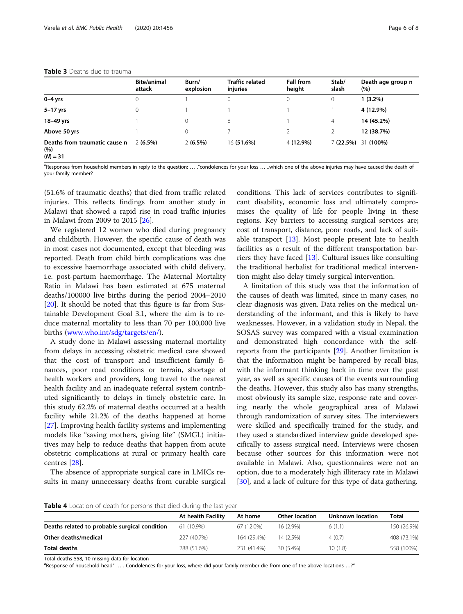#### <span id="page-5-0"></span>Table 3 Deaths due to trauma

|                                                    | <b>Bite/animal</b><br>attack | Burn/<br>explosion | <b>Traffic related</b><br>injuries | Fall from<br>height | Stab/<br>slash | Death age group n<br>(%) |
|----------------------------------------------------|------------------------------|--------------------|------------------------------------|---------------------|----------------|--------------------------|
| $0-4$ yrs                                          | 0                            |                    | 0                                  | $\mathbf{0}$        | 0              | $1(3.2\%)$               |
| $5-17$ yrs                                         | $\mathbf 0$                  |                    |                                    |                     |                | 4 (12.9%)                |
| 18-49 yrs                                          |                              | $\mathbf 0$        | 8                                  |                     | 4              | 14 (45.2%)               |
| Above 50 yrs                                       |                              | $\mathbf 0$        |                                    |                     |                | 12 (38.7%)               |
| Deaths from traumatic cause n<br>(%)<br>$(N) = 31$ | 2(6.5%)                      | 2(6.5%)            | 16(51.6%)                          | 4 (12.9%)           | 7 (22.5%)      | 31 (100%)                |

<sup>a</sup>Responses from household members in reply to the question: ... ."condolences for your loss ... ..which one of the above injuries may have caused the death of your family member?

(51.6% of traumatic deaths) that died from traffic related injuries. This reflects findings from another study in Malawi that showed a rapid rise in road traffic injuries in Malawi from 2009 to 2015 [[26\]](#page-7-0).

We registered 12 women who died during pregnancy and childbirth. However, the specific cause of death was in most cases not documented, except that bleeding was reported. Death from child birth complications was due to excessive haemorrhage associated with child delivery, i.e. post-partum haemorrhage. The Maternal Mortality Ratio in Malawi has been estimated at 675 maternal deaths/100000 live births during the period 2004–2010 [[20\]](#page-7-0). It should be noted that this figure is far from Sustainable Development Goal 3.1, where the aim is to reduce maternal mortality to less than 70 per 100,000 live births [\(www.who.int/sdg/targets/en/\)](http://www.who.int/sdg/targets/en/).

A study done in Malawi assessing maternal mortality from delays in accessing obstetric medical care showed that the cost of transport and insufficient family finances, poor road conditions or terrain, shortage of health workers and providers, long travel to the nearest health facility and an inadequate referral system contributed significantly to delays in timely obstetric care. In this study 62.2% of maternal deaths occurred at a health facility while 21.2% of the deaths happened at home [[27\]](#page-7-0). Improving health facility systems and implementing models like "saving mothers, giving life" (SMGL) initiatives may help to reduce deaths that happen from acute obstetric complications at rural or primary health care centres [\[28\]](#page-7-0).

The absence of appropriate surgical care in LMICs results in many unnecessary deaths from curable surgical

conditions. This lack of services contributes to significant disability, economic loss and ultimately compromises the quality of life for people living in these regions. Key barriers to accessing surgical services are; cost of transport, distance, poor roads, and lack of suitable transport [[13\]](#page-6-0). Most people present late to health facilities as a result of the different transportation barriers they have faced [\[13](#page-6-0)]. Cultural issues like consulting the traditional herbalist for traditional medical intervention might also delay timely surgical intervention.

A limitation of this study was that the information of the causes of death was limited, since in many cases, no clear diagnosis was given. Data relies on the medical understanding of the informant, and this is likely to have weaknesses. However, in a validation study in Nepal, the SOSAS survey was compared with a visual examination and demonstrated high concordance with the selfreports from the participants [\[29](#page-7-0)]. Another limitation is that the information might be hampered by recall bias, with the informant thinking back in time over the past year, as well as specific causes of the events surrounding the deaths. However, this study also has many strengths, most obviously its sample size, response rate and covering nearly the whole geographical area of Malawi through randomization of survey sites. The interviewers were skilled and specifically trained for the study, and they used a standardized interview guide developed specifically to assess surgical need. Interviews were chosen because other sources for this information were not available in Malawi. Also, questionnaires were not an option, due to a moderately high illiteracy rate in Malawi [[30\]](#page-7-0), and a lack of culture for this type of data gathering.

Table 4 Location of death for persons that died during the last year

|                                               | At health Facility | At home     | <b>Other location</b> | Unknown location | <b>Total</b> |
|-----------------------------------------------|--------------------|-------------|-----------------------|------------------|--------------|
| Deaths related to probable surgical condition | 61 (10.9%)         | 67 (12.0%)  | $16(2.9\%)$           | 6(1.1)           | 150 (26.9%)  |
| Other deaths/medical                          | 227 (40.7%)        | 164 (29.4%) | $14(2.5\%)$           | 4(0.7)           | 408 (73.1%)  |
| Total deaths                                  | 288 (51.6%)        | 231 (41.4%) | $30(5.4\%)$           | 10(1.8)          | 558 (100%)   |

Total deaths 558, 10 missing data for location

a Response of household head" … . Condolences for your loss, where did your family member die from one of the above locations …?"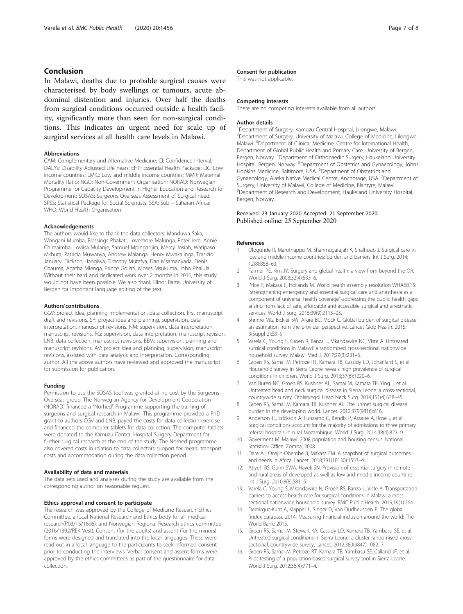# <span id="page-6-0"></span>Conclusion

In Malawi, deaths due to probable surgical causes were characterised by body swellings or tumours, acute abdominal distention and injuries. Over half the deaths from surgical conditions occurred outside a health facility, significantly more than seen for non-surgical conditions. This indicates an urgent need for scale up of surgical services at all health care levels in Malawi.

#### Abbreviations

CAM: Complementary and Alternative Medicine; CI: Confidence Interval; DALYs: Disability Adjusted Life Years; EHP: Essential Health Package; LIC: Low income countries; LMIC: Low and middle income countries; MMR: Maternal Mortality Ratio; NGO: Non-Government Organisation; NORAD: Norwegian Programme for Capacity Development in Higher Education and Research for Development; SOSAS: Surgeons Overseas Assessment of Surgical need; SPSS: Statistical Package for Social Scientists; SSA: Sub – Saharan Africa; WHO: World Health Organisation

#### Acknowledgements

The authors would like to thank the data collectors: Manduwa Saka, Wongani Mumba, Blessings Phakati, Lovemore Malunga, Peter Jere, Annie Chimaimba, Loviisa Mulanje, Samuel Mpinganjira, Mercy Josiah, Watipaso Mkhuta, Patricia Muwanya, Andrew Malanga, Henry Mwakalinga, Trasizio January, Dickson Hangiwa, Timothy Mutafya, Dan Msamanyada, Denis Chauma, Agatha Mlenga, Prince Goliati, Moses Msukuma, John Phalula. Without their hard and dedicated work over 2 months in 2016, this study would not have been possible. We also thank Elinor Barte, University of Bergen for important language editing of the text.

#### Authors'contributions

CGV: project idea, planning implementation, data collection, first manuscript draft and revisions. SY: project idea and planning, supervision, data interpretation, manuscript revisions. NM: supervision, data interpretation, manuscript revisions. RG: supervision, data interpretation, manuscript revision. LNB: data collection, manuscript revisions. BEM: supervision, planning and manuscript revisions. AV: project idea and planning, supervision, manuscript revisions, assisted with data analysis and interpretation. Corresponding author. All the above authors have reviewed and approved the manuscript for submission for publication.

#### Funding

Permission to use the SOSAS tool was granted at no cost by the Surgeons Overseas group. The Norwegian Agency for Development Cooperation (NORAD) financed a "Norhed" Programme supporting the training of surgeons and surgical research in Malawi. This programme provided a PhD grant to authors CGV and LNB, payed the costs for data collection exercise and financed the computer tablets for data collection. The computer tablets were donated to the Kamuzu Central Hospital Surgery Department for further surgical research at the end of the study. The Norhed programme also covered costs in relation to data collectors support for meals, transport costs and accommodation during the data collection period.

#### Availability of data and materials

The data sets used and analyses during the study are available from the corresponding author on reasonable request.

#### Ethics approval and consent to participate

The research was approved by the College of Medicine Research Ethics Committee, a local National Research and Ethics body for all medical research(P03/15/1696), and Norwegian Regional Research ethics committee (2016/1392/REK Vest). Consent (for the adults) and assent (for the minors) forms were designed and translated into the local languages. These were read out in a local language to the participants to seek informed consent prior to conducting the interviews. Verbal consent and assent forms were approved by the ethics committees as part of the questionnaire for data collection.

# Consent for publication

This was not applicable.

#### Competing interests

There are no competing interests available from all authors.

#### Author details

<sup>1</sup> Department of Surgery, Kamuzu Central Hospital, Lilongwe, Malawi. <sup>2</sup>Department of Surgery, University of Malawi, College of Medicine, Lilongwe, Malawi. <sup>3</sup>Department of Clinical Medicine, Centre for International Health Department of Global Public Health and Primary Care, University of Bergen, Bergen, Norway. <sup>4</sup> Department of Orthopaedic Surgery, Haukeland University Hospital, Bergen, Norway. <sup>5</sup>Department of Obstetrics and Gynaecology, Johns Hopkins Medicine, Baltimore, USA. <sup>6</sup>Department of Obstetrics and Gynaecology, Alaska Native Medical Centre, Anchorage, USA. <sup>7</sup>Department of Surgery, University of Malawi, College of Medicine, Blantyre, Malawi. 8 Department of Research and Development, Haukeland University Hospital, Bergen, Norway.

# Received: 23 January 2020 Accepted: 21 September 2020 Published online: 25 September 2020

#### References

- 1. Ologunde R, Maruthappu M, Shanmugarajah K, Shalhoub J. Surgical care in low and middle-income countries: burden and barriers. Int J Surg. 2014; 12(8):858–63.
- 2. Farmer PE, Kim JY. Surgery and global health: a view from beyond the OR. World J Surg. 2008;32(4):533–6.
- 3. Price R, Makasa E, Hollands M. World health assembly resolution WHA68.15: "strengthening emergency and essential surgical care and anesthesia as a component of universal health coverage"-addressing the public health gaps arising from lack of safe, affordable and accessible surgical and anesthetic services. World J Surg. 2015;39(9):2115–25.
- 4. Shrime MG, Bickler SW, Alkire BC, Mock C. Global burden of surgical disease: an estimation from the provider perspective. Lancet Glob Health. 2015; 3(Suppl 2):S8–9.
- 5. Varela C, Young S, Groen R, Banza L, Mkandawire NC, Viste A. Untreated surgical conditions in Malawi: a randomised cross-sectional nationwide household survey. Malawi Med J. 2017;29(3):231–6.
- 6. Groen RS, Samai M, Petroze RT, Kamara TB, Cassidy LD, Joharifard S, et al. Household survey in Sierra Leone reveals high prevalence of surgical conditions in children. World J Surg. 2013;37(6):1220–6.
- 7. Van Buren NC, Groen RS, Kushner AL, Samai M, Kamara TB, Ying J, et al. Untreated head and neck surgical disease in Sierra Leone: a cross-sectional, countrywide survey. Otolaryngol Head Neck Surg. 2014;151(4):638–45.
- 8. Groen RS, Samai M, Kamara TB, Kushner AL. The unmet surgical disease burden in the developing world. Lancet. 2012;379(9816):616.
- 9. Anderson JE, Erickson A, Funzamo C, Bendix P, Assane A, Rose J, et al. Surgical conditions account for the majority of admissions to three primary referral hospitals in rural Mozambique. World J Surg. 2014;38(4):823–9.
- 10. Goverment M. Malawi: 2008 population and housing census. National Statistical Office: Zomba; 2008.
- 11. Dare AJ, Onajin-Obembe B, Makasa EM. A snapshot of surgical outcomes and needs in Africa. Lancet. 2018;391(10130):1553–4.
- 12. Atiyeh BS, Gunn SWA, Hayek SN. Provision of essential surgery in remote and rural areas of developed as well as low and middle income countries. Int J Surg. 2010;8(8):581–5.
- 13. Varela C, Young S, Mkandawire N, Groen RS, Banza L, Viste A. Transportation barriers to access health care for surgical conditions in Malawi a cross sectional nationwide household survey. BMC Public Health. 2019;19(1):264.
- 14. Demirguc-Kunt A, Klapper L, Singer D, Van Oudheusden P. The global findex database 2014: Measuring financial inclusion around the world: The World Bank; 2015.
- 15. Groen RS, Samai M, Stewart KA, Cassidy LD, Kamara TB, Yambasu SE, et al. Untreated surgical conditions in Sierra Leone: a cluster randomised, crosssectional, countrywide survey. Lancet. 2012;380(9847):1082–7.
- 16. Groen RS, Samai M, Petroze RT, Kamara TB, Yambasu SE, Calland JF, et al. Pilot testing of a population-based surgical survey tool in Sierra Leone. World J Surg. 2012;36(4):771–4.